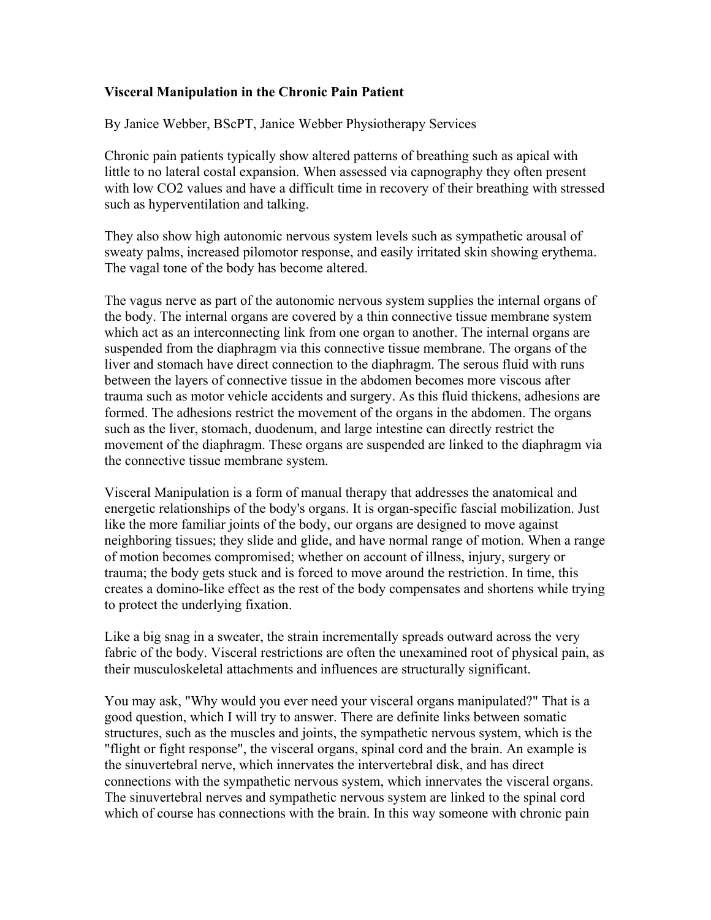## **Visceral Manipulation in the Chronic Pain Patient**

By Janice Webber, BScPT, Janice Webber Physiotherapy Services

Chronic pain patients typically show altered patterns of breathing such as apical with little to no lateral costal expansion. When assessed via capnography they often present with low CO2 values and have a difficult time in recovery of their breathing with stressed such as hyperventilation and talking.

They also show high autonomic nervous system levels such as sympathetic arousal of sweaty palms, increased pilomotor response, and easily irritated skin showing erythema. The vagal tone of the body has become altered.

The vagus nerve as part of the autonomic nervous system supplies the internal organs of the body. The internal organs are covered by a thin connective tissue membrane system which act as an interconnecting link from one organ to another. The internal organs are suspended from the diaphragm via this connective tissue membrane. The organs of the liver and stomach have direct connection to the diaphragm. The serous fluid with runs between the layers of connective tissue in the abdomen becomes more viscous after trauma such as motor vehicle accidents and surgery. As this fluid thickens, adhesions are formed. The adhesions restrict the movement of the organs in the abdomen. The organs such as the liver, stomach, duodenum, and large intestine can directly restrict the movement of the diaphragm. These organs are suspended are linked to the diaphragm via the connective tissue membrane system.

Visceral Manipulation is a form of manual therapy that addresses the anatomical and energetic relationships of the body's organs. It is organ-specific fascial mobilization. Just like the more familiar joints of the body, our organs are designed to move against neighboring tissues; they slide and glide, and have normal range of motion. When a range of motion becomes compromised; whether on account of illness, injury, surgery or trauma; the body gets stuck and is forced to move around the restriction. In time, this creates a domino-like effect as the rest of the body compensates and shortens while trying to protect the underlying fixation.

Like a big snag in a sweater, the strain incrementally spreads outward across the very fabric of the body. Visceral restrictions are often the unexamined root of physical pain, as their musculoskeletal attachments and influences are structurally significant.

You may ask, "Why would you ever need your visceral organs manipulated?" That is a good question, which I will try to answer. There are definite links between somatic structures, such as the muscles and joints, the sympathetic nervous system, which is the "flight or fight response", the visceral organs, spinal cord and the brain. An example is the sinuvertebral nerve, which innervates the intervertebral disk, and has direct connections with the sympathetic nervous system, which innervates the visceral organs. The sinuvertebral nerves and sympathetic nervous system are linked to the spinal cord which of course has connections with the brain. In this way someone with chronic pain